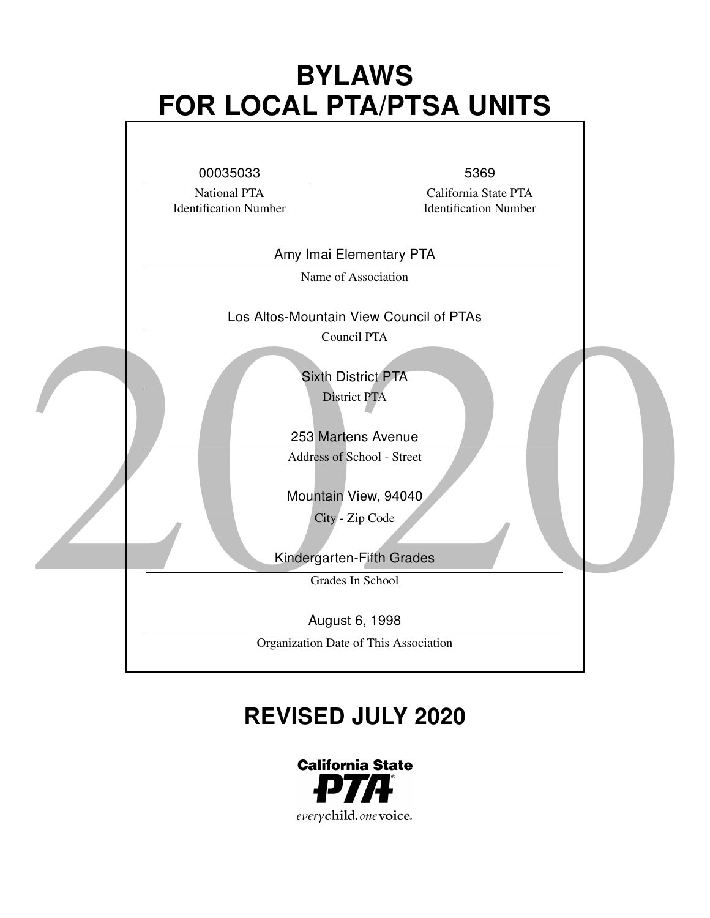# BYLAWS FOR LOCAL PTA/PTSA UNITS



# REVISED JULY 2020

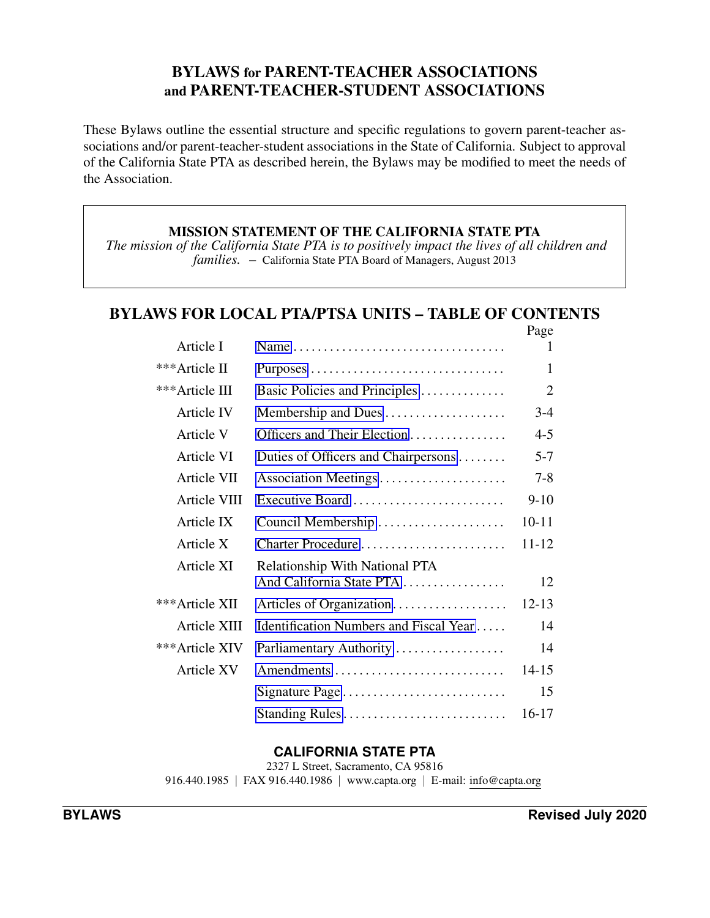## BYLAWS for PARENT-TEACHER ASSOCIATIONS and PARENT-TEACHER-STUDENT ASSOCIATIONS

These Bylaws outline the essential structure and specific regulations to govern parent-teacher associations and/or parent-teacher-student associations in the State of California. Subject to approval of the California State PTA as described herein, the Bylaws may be modified to meet the needs of the Association.

## MISSION STATEMENT OF THE CALIFORNIA STATE PTA

*The mission of the California State PTA is to positively impact the lives of all children and families.* – California State PTA Board of Managers, August 2013

# BYLAWS FOR LOCAL PTA/PTSA UNITS – TABLE OF CONTENTS

|                   |                                                                   | Page           |
|-------------------|-------------------------------------------------------------------|----------------|
| Article I         | Name                                                              | L              |
| ***Article II     |                                                                   | 1              |
| ***Article III    | Basic Policies and Principles                                     | $\overline{2}$ |
| Article IV        | Membership and Dues                                               | $3-4$          |
| Article V         | Officers and Their Election                                       | $4 - 5$        |
| <b>Article VI</b> | Duties of Officers and Chairpersons                               | $5 - 7$        |
| Article VII       | Association Meetings                                              | $7 - 8$        |
| Article VIII      | Executive Board                                                   | $9-10$         |
| Article IX        | Council Membership                                                | $10 - 11$      |
| Article X         | Charter Procedure                                                 | 11-12          |
| Article XI        | <b>Relationship With National PTA</b><br>And California State PTA | 12             |
| ***Article XII    |                                                                   | $12 - 13$      |
| Article XIII      | Identification Numbers and Fiscal Year                            | 14             |
| ***Article XIV    | Parliamentary Authority                                           | 14             |
| Article XV        | Amendments                                                        | 14-15          |
|                   | Signature Page                                                    | 15             |
|                   | Standing Rules                                                    | 16-17          |

## CALIFORNIA STATE PTA

2327 L Street, Sacramento, CA 95816 916.440.1985 *|* FAX 916.440.1986 *|* www.capta.org *|* E-mail: info@capta.org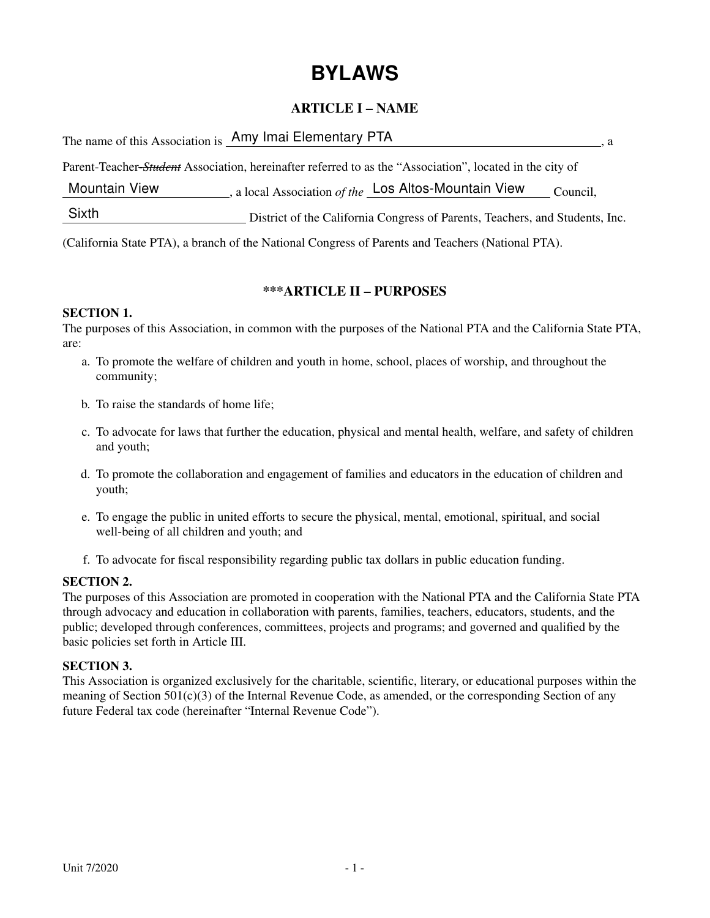# BYLAWS

## ARTICLE I – NAME

|                      | The name of this Association is Amy Imai Elementary PTA                                                  |  |
|----------------------|----------------------------------------------------------------------------------------------------------|--|
|                      | Parent-Teacher-Student Association, hereinafter referred to as the "Association", located in the city of |  |
| <b>Mountain View</b> | , a local Association of the Los Altos-Mountain View<br>Council,                                         |  |
| Sixth                | District of the California Congress of Parents, Teachers, and Students, Inc.                             |  |

(California State PTA), a branch of the National Congress of Parents and Teachers (National PTA).

## \*\*\*ARTICLE II – PURPOSES

## SECTION 1.

The purposes of this Association, in common with the purposes of the National PTA and the California State PTA, are:

- a. To promote the welfare of children and youth in home, school, places of worship, and throughout the community;
- b. To raise the standards of home life;
- c. To advocate for laws that further the education, physical and mental health, welfare, and safety of children and youth;
- d. To promote the collaboration and engagement of families and educators in the education of children and youth;
- e. To engage the public in united efforts to secure the physical, mental, emotional, spiritual, and social well-being of all children and youth; and
- f. To advocate for fiscal responsibility regarding public tax dollars in public education funding.

## SECTION 2.

The purposes of this Association are promoted in cooperation with the National PTA and the California State PTA through advocacy and education in collaboration with parents, families, teachers, educators, students, and the public; developed through conferences, committees, projects and programs; and governed and qualified by the basic policies set forth in Article III.

#### SECTION 3.

This Association is organized exclusively for the charitable, scientific, literary, or educational purposes within the meaning of Section  $501(c)(3)$  of the Internal Revenue Code, as amended, or the corresponding Section of any future Federal tax code (hereinafter "Internal Revenue Code").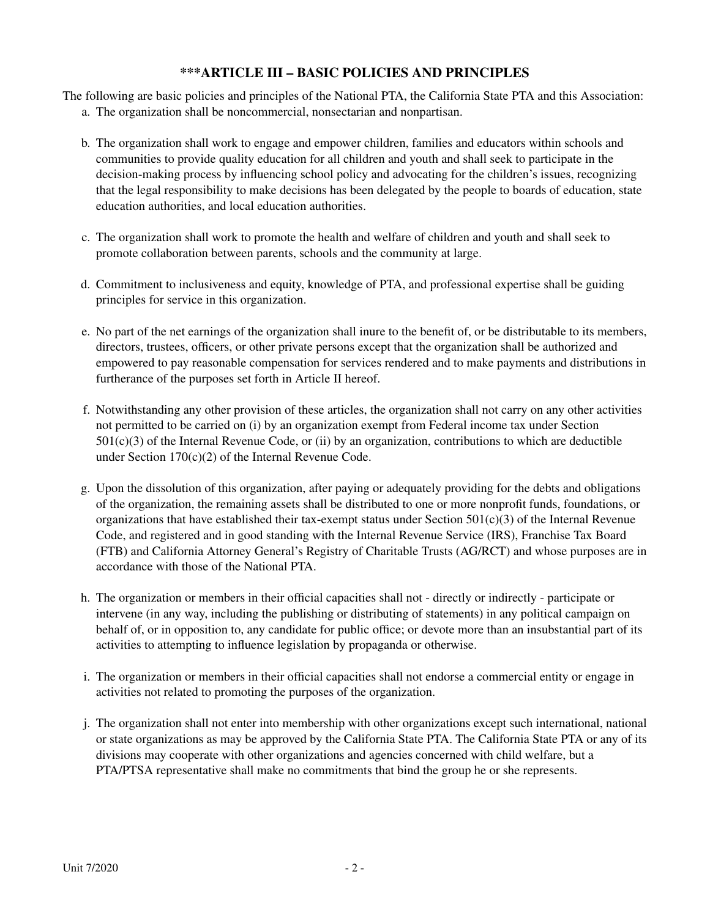## \*\*\*ARTICLE III – BASIC POLICIES AND PRINCIPLES

The following are basic policies and principles of the National PTA, the California State PTA and this Association:

- a. The organization shall be noncommercial, nonsectarian and nonpartisan.
- b. The organization shall work to engage and empower children, families and educators within schools and communities to provide quality education for all children and youth and shall seek to participate in the decision-making process by influencing school policy and advocating for the children's issues, recognizing that the legal responsibility to make decisions has been delegated by the people to boards of education, state education authorities, and local education authorities.
- c. The organization shall work to promote the health and welfare of children and youth and shall seek to promote collaboration between parents, schools and the community at large.
- d. Commitment to inclusiveness and equity, knowledge of PTA, and professional expertise shall be guiding principles for service in this organization.
- e. No part of the net earnings of the organization shall inure to the benefit of, or be distributable to its members, directors, trustees, officers, or other private persons except that the organization shall be authorized and empowered to pay reasonable compensation for services rendered and to make payments and distributions in furtherance of the purposes set forth in Article II hereof.
- f. Notwithstanding any other provision of these articles, the organization shall not carry on any other activities not permitted to be carried on (i) by an organization exempt from Federal income tax under Section  $501(c)(3)$  of the Internal Revenue Code, or (ii) by an organization, contributions to which are deductible under Section 170(c)(2) of the Internal Revenue Code.
- g. Upon the dissolution of this organization, after paying or adequately providing for the debts and obligations of the organization, the remaining assets shall be distributed to one or more nonprofit funds, foundations, or organizations that have established their tax-exempt status under Section  $501(c)(3)$  of the Internal Revenue Code, and registered and in good standing with the Internal Revenue Service (IRS), Franchise Tax Board (FTB) and California Attorney General's Registry of Charitable Trusts (AG/RCT) and whose purposes are in accordance with those of the National PTA.
- h. The organization or members in their official capacities shall not directly or indirectly participate or intervene (in any way, including the publishing or distributing of statements) in any political campaign on behalf of, or in opposition to, any candidate for public office; or devote more than an insubstantial part of its activities to attempting to influence legislation by propaganda or otherwise.
- i. The organization or members in their official capacities shall not endorse a commercial entity or engage in activities not related to promoting the purposes of the organization.
- j. The organization shall not enter into membership with other organizations except such international, national or state organizations as may be approved by the California State PTA. The California State PTA or any of its divisions may cooperate with other organizations and agencies concerned with child welfare, but a PTA/PTSA representative shall make no commitments that bind the group he or she represents.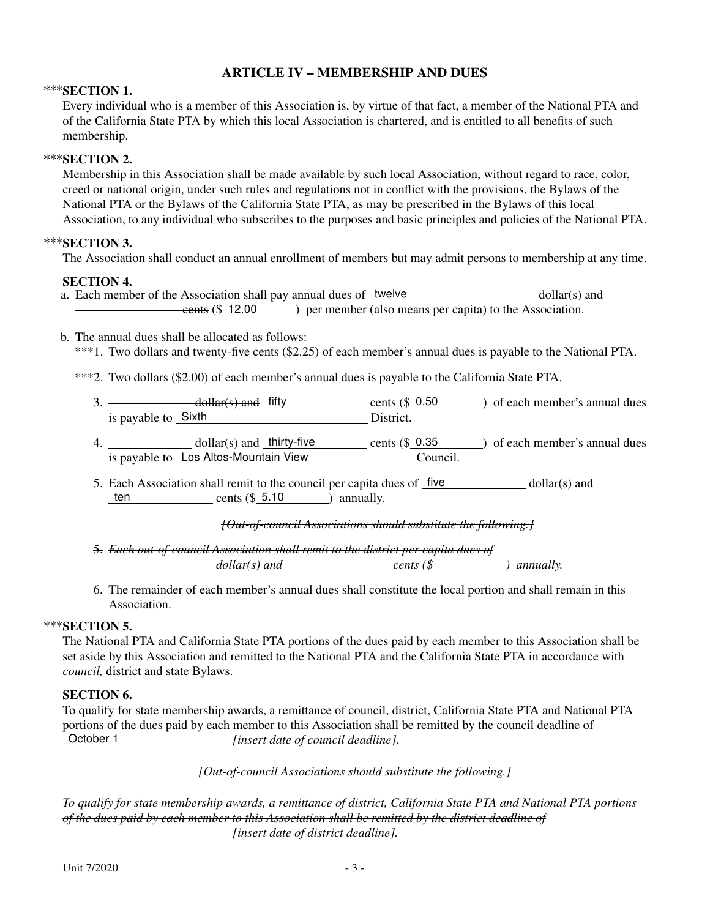## ARTICLE IV – MEMBERSHIP AND DUES

#### $***$ SECTION 1.

Every individual who is a member of this Association is, by virtue of that fact, a member of the National PTA and of the California State PTA by which this local Association is chartered, and is entitled to all benefits of such membership.

#### \*\*\*SECTION 2.

Membership in this Association shall be made available by such local Association, without regard to race, color, creed or national origin, under such rules and regulations not in conflict with the provisions, the Bylaws of the National PTA or the Bylaws of the California State PTA, as may be prescribed in the Bylaws of this local Association, to any individual who subscribes to the purposes and basic principles and policies of the National PTA.

#### \*\*\*SECTION 3.

The Association shall conduct an annual enrollment of members but may admit persons to membership at any time.

#### SECTION 4.

- a. Each member of the Association shall pay annual dues of twelve  $\omega$  dollar(s) and **cents (\$ 12.00** ) per member (also means per capita) to the Association.
- b. The annual dues shall be allocated as follows:
	- \*\*\*1. Two dollars and twenty-five cents (\$2.25) of each member's annual dues is payable to the National PTA.
	- \*\*\*2. Two dollars (\$2.00) of each member's annual dues is payable to the California State PTA.
		- $3.$   $\frac{1}{2}$  dollar(s) and fifty cents (\$ 0.50 ) of each member's annual dues is payable to Sixth <u>District.</u>
		- 4.  $\frac{d\theta}{dt}$  dollar(s) and thirty-five cents (\$ 0.35 ) of each member's annual dues is payable to Los Altos-Mountain View Council.
		- 5. Each Association shall remit to the council per capita dues of five dollar(s) and ten cents  $(\$ 5.10$  ) annually.

#### *[Out-of-council Associations should substitute the following.]*

- 5. *Each out-of-council Association shall remit to the district per capita dues of dollar(s) and cents (\$ ) annually.*
- 6. The remainder of each member's annual dues shall constitute the local portion and shall remain in this Association.

#### $***$ SECTION 5.

The National PTA and California State PTA portions of the dues paid by each member to this Association shall be set aside by this Association and remitted to the National PTA and the California State PTA in accordance with *council,* district and state Bylaws.

#### SECTION 6.

To qualify for state membership awards, a remittance of council, district, California State PTA and National PTA portions of the dues paid by each member to this Association shall be remitted by the council deadline of October 1 *[insert date of council deadline]*.

#### *[Out-of-council Associations should substitute the following.]*

To qualify for state membership awards, a remittance of district, California State PTA and National PTA portions *of the dues paid by each member to this Association shall be remitted by the district deadline of [insert date of district deadline].*  $\equiv$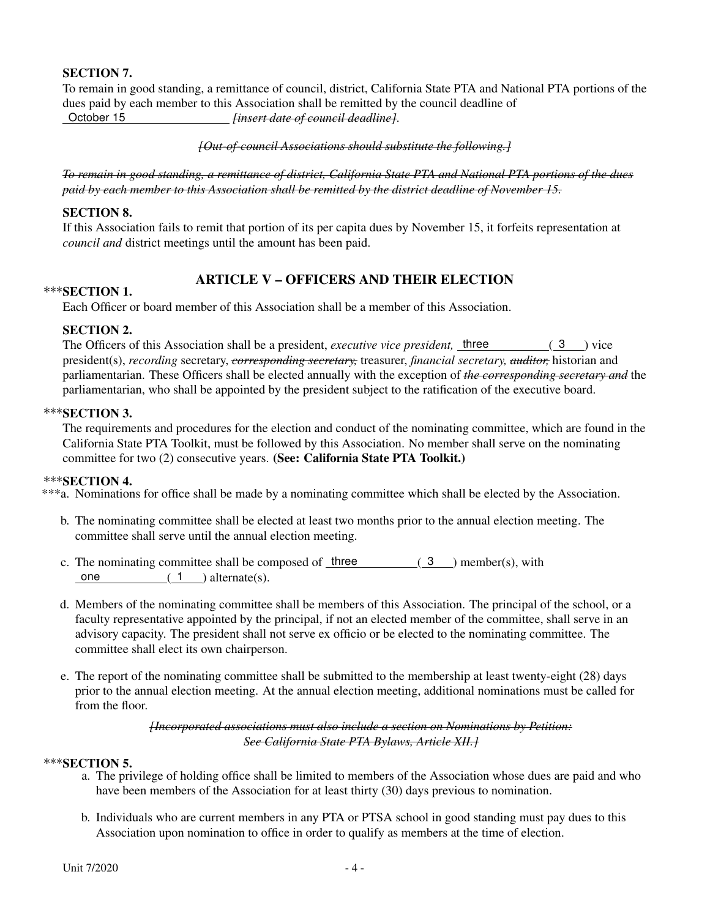### SECTION 7.

To remain in good standing, a remittance of council, district, California State PTA and National PTA portions of the dues paid by each member to this Association shall be remitted by the council deadline of<br>October 15<br>finsert date of council deadline l. October 15 *[insert date of council deadline]*.

*[Out-of-council Associations should substitute the following.]*

To remain in good standing, a remittance of district. California State PTA and National PTA portions of the dues *paid by each member to this Association shall be remitted by the district deadline of November 15.*

#### SECTION 8.

If this Association fails to remit that portion of its per capita dues by November 15, it forfeits representation at *council and* district meetings until the amount has been paid.

## ARTICLE V – OFFICERS AND THEIR ELECTION

#### **\*\*\*SECTION 1.**

Each Officer or board member of this Association shall be a member of this Association.

#### SECTION 2.

The Officers of this Association shall be a president, *executive vice president*, three (3) vice president(s), *recording* secretary, *corresponding secretary,* treasurer, *financial secretary, auditor,* historian and parliamentarian. These Officers shall be elected annually with the exception of *the corresponding secretary and* the parliamentarian, who shall be appointed by the president subject to the ratification of the executive board.

#### \*\*\*SECTION 3.

The requirements and procedures for the election and conduct of the nominating committee, which are found in the California State PTA Toolkit, must be followed by this Association. No member shall serve on the nominating committee for two (2) consecutive years. (See: California State PTA Toolkit.)

#### \*\*\*SECTION 4.

\*\*\*a. Nominations for office shall be made by a nominating committee which shall be elected by the Association.

- b. The nominating committee shall be elected at least two months prior to the annual election meeting. The committee shall serve until the annual election meeting.
- c. The nominating committee shall be composed of  $three$  (3) member(s), with one  $(1)$  alternate(s).
- d. Members of the nominating committee shall be members of this Association. The principal of the school, or a faculty representative appointed by the principal, if not an elected member of the committee, shall serve in an advisory capacity. The president shall not serve ex officio or be elected to the nominating committee. The committee shall elect its own chairperson.
- e. The report of the nominating committee shall be submitted to the membership at least twenty-eight (28) days prior to the annual election meeting. At the annual election meeting, additional nominations must be called for from the floor.

*[Incorporated associations must also include a section on Nominations by Petition: See California State PTA Bylaws, Article XII.]*

#### $***$ SECTION 5.

- a. The privilege of holding office shall be limited to members of the Association whose dues are paid and who have been members of the Association for at least thirty (30) days previous to nomination.
- b. Individuals who are current members in any PTA or PTSA school in good standing must pay dues to this Association upon nomination to office in order to qualify as members at the time of election.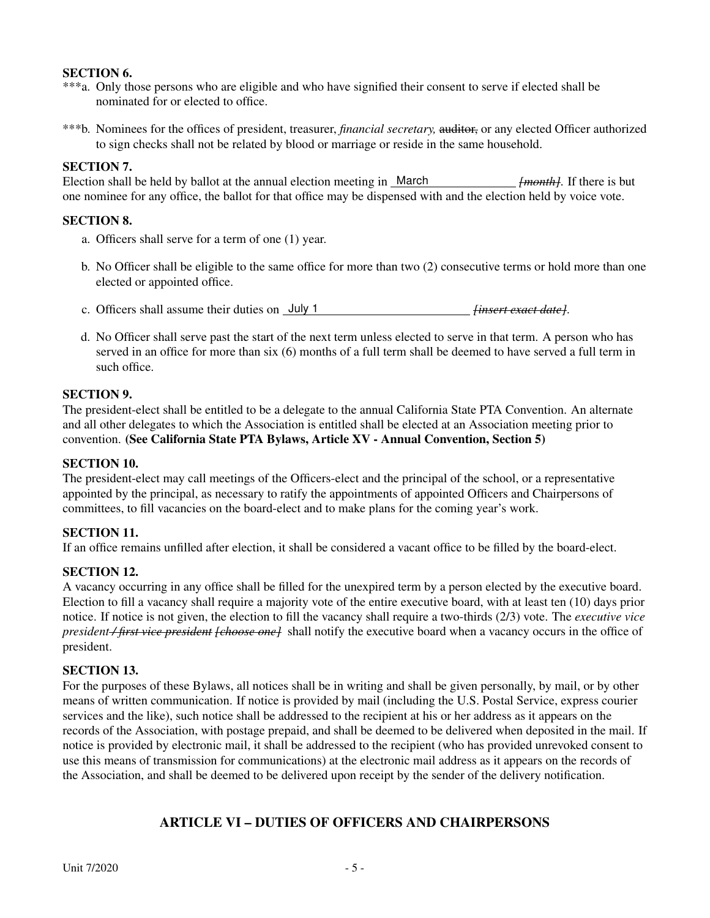#### SECTION 6.

- \*\*\*a. Only those persons who are eligible and who have signified their consent to serve if elected shall be nominated for or elected to office.
- \*\*\*b. Nominees for the offices of president, treasurer, *financial secretary,* auditor, or any elected Officer authorized to sign checks shall not be related by blood or marriage or reside in the same household.

#### SECTION 7.

Election shall be held by ballot at the annual election meeting in March *[month]*. If there is but one nominee for any office, the ballot for that office may be dispensed with and the election held by voice vote.

#### SECTION 8.

- a. Officers shall serve for a term of one (1) year.
- b. No Officer shall be eligible to the same office for more than two (2) consecutive terms or hold more than one elected or appointed office.
- c. Officers shall assume their duties on July 1 *[insert exact date]*.
- d. No Officer shall serve past the start of the next term unless elected to serve in that term. A person who has served in an office for more than six (6) months of a full term shall be deemed to have served a full term in such office.

#### SECTION 9.

The president-elect shall be entitled to be a delegate to the annual California State PTA Convention. An alternate and all other delegates to which the Association is entitled shall be elected at an Association meeting prior to convention. (See California State PTA Bylaws, Article XV - Annual Convention, Section 5)

#### SECTION 10.

The president-elect may call meetings of the Officers-elect and the principal of the school, or a representative appointed by the principal, as necessary to ratify the appointments of appointed Officers and Chairpersons of committees, to fill vacancies on the board-elect and to make plans for the coming year's work.

#### SECTION 11.

If an office remains unfilled after election, it shall be considered a vacant office to be filled by the board-elect.

#### SECTION 12.

A vacancy occurring in any office shall be filled for the unexpired term by a person elected by the executive board. Election to fill a vacancy shall require a majority vote of the entire executive board, with at least ten (10) days prior notice. If notice is not given, the election to fill the vacancy shall require a two-thirds (2/3) vote. The *executive vice president / first vice president [choose one]* shall notify the executive board when a vacancy occurs in the office of president.

#### SECTION 13.

For the purposes of these Bylaws, all notices shall be in writing and shall be given personally, by mail, or by other means of written communication. If notice is provided by mail (including the U.S. Postal Service, express courier services and the like), such notice shall be addressed to the recipient at his or her address as it appears on the records of the Association, with postage prepaid, and shall be deemed to be delivered when deposited in the mail. If notice is provided by electronic mail, it shall be addressed to the recipient (who has provided unrevoked consent to use this means of transmission for communications) at the electronic mail address as it appears on the records of the Association, and shall be deemed to be delivered upon receipt by the sender of the delivery notification.

## ARTICLE VI – DUTIES OF OFFICERS AND CHAIRPERSONS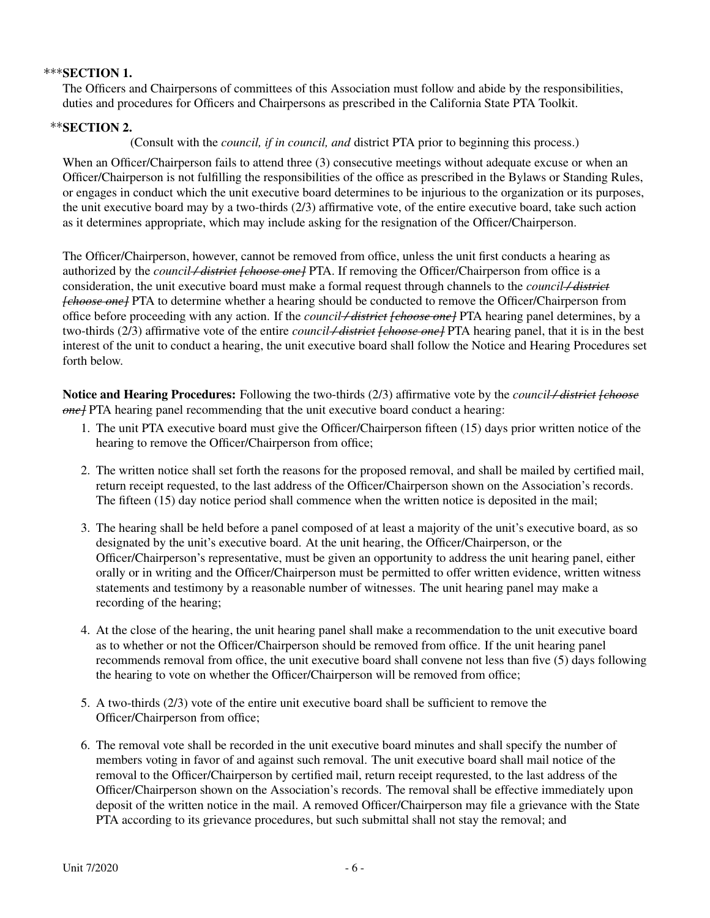#### \*\*\*SECTION 1.

The Officers and Chairpersons of committees of this Association must follow and abide by the responsibilities, duties and procedures for Officers and Chairpersons as prescribed in the California State PTA Toolkit.

#### SECTION 2.

(Consult with the *council, if in council, and* district PTA prior to beginning this process.)

When an Officer/Chairperson fails to attend three (3) consecutive meetings without adequate excuse or when an Officer/Chairperson is not fulfilling the responsibilities of the office as prescribed in the Bylaws or Standing Rules, or engages in conduct which the unit executive board determines to be injurious to the organization or its purposes, the unit executive board may by a two-thirds (2/3) affirmative vote, of the entire executive board, take such action as it determines appropriate, which may include asking for the resignation of the Officer/Chairperson.

The Officer/Chairperson, however, cannot be removed from office, unless the unit first conducts a hearing as authorized by the *council / district [choose one]* PTA. If removing the Officer/Chairperson from office is a consideration, the unit executive board must make a formal request through channels to the *council / district [choose one]* PTA to determine whether a hearing should be conducted to remove the Officer/Chairperson from office before proceeding with any action. If the *council / district [choose one]* PTA hearing panel determines, by a two-thirds (2/3) affirmative vote of the entire *council / district [choose one]* PTA hearing panel, that it is in the best interest of the unit to conduct a hearing, the unit executive board shall follow the Notice and Hearing Procedures set forth below.

Notice and Hearing Procedures: Following the two-thirds (2/3) affirmative vote by the *council / district [choose one]* PTA hearing panel recommending that the unit executive board conduct a hearing:

- 1. The unit PTA executive board must give the Officer/Chairperson fifteen (15) days prior written notice of the hearing to remove the Officer/Chairperson from office;
- 2. The written notice shall set forth the reasons for the proposed removal, and shall be mailed by certified mail, return receipt requested, to the last address of the Officer/Chairperson shown on the Association's records. The fifteen (15) day notice period shall commence when the written notice is deposited in the mail;
- 3. The hearing shall be held before a panel composed of at least a majority of the unit's executive board, as so designated by the unit's executive board. At the unit hearing, the Officer/Chairperson, or the Officer/Chairperson's representative, must be given an opportunity to address the unit hearing panel, either orally or in writing and the Officer/Chairperson must be permitted to offer written evidence, written witness statements and testimony by a reasonable number of witnesses. The unit hearing panel may make a recording of the hearing;
- 4. At the close of the hearing, the unit hearing panel shall make a recommendation to the unit executive board as to whether or not the Officer/Chairperson should be removed from office. If the unit hearing panel recommends removal from office, the unit executive board shall convene not less than five (5) days following the hearing to vote on whether the Officer/Chairperson will be removed from office;
- 5. A two-thirds (2/3) vote of the entire unit executive board shall be sufficient to remove the Officer/Chairperson from office;
- 6. The removal vote shall be recorded in the unit executive board minutes and shall specify the number of members voting in favor of and against such removal. The unit executive board shall mail notice of the removal to the Officer/Chairperson by certified mail, return receipt requrested, to the last address of the Officer/Chairperson shown on the Association's records. The removal shall be effective immediately upon deposit of the written notice in the mail. A removed Officer/Chairperson may file a grievance with the State PTA according to its grievance procedures, but such submittal shall not stay the removal; and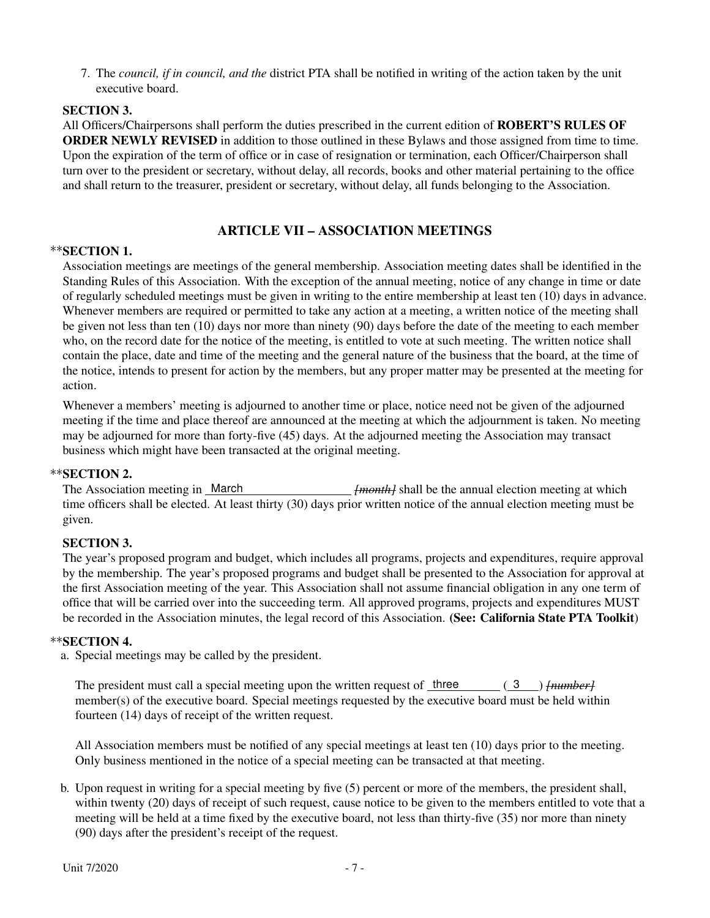7. The *council, if in council, and the* district PTA shall be notified in writing of the action taken by the unit executive board.

#### SECTION 3.

All Officers/Chairpersons shall perform the duties prescribed in the current edition of ROBERT'S RULES OF ORDER NEWLY REVISED in addition to those outlined in these Bylaws and those assigned from time to time. Upon the expiration of the term of office or in case of resignation or termination, each Officer/Chairperson shall turn over to the president or secretary, without delay, all records, books and other material pertaining to the office and shall return to the treasurer, president or secretary, without delay, all funds belonging to the Association.

#### ARTICLE VII – ASSOCIATION MEETINGS

#### \*\*SECTION 1.

Association meetings are meetings of the general membership. Association meeting dates shall be identified in the Standing Rules of this Association. With the exception of the annual meeting, notice of any change in time or date of regularly scheduled meetings must be given in writing to the entire membership at least ten (10) days in advance. Whenever members are required or permitted to take any action at a meeting, a written notice of the meeting shall be given not less than ten (10) days nor more than ninety (90) days before the date of the meeting to each member who, on the record date for the notice of the meeting, is entitled to vote at such meeting. The written notice shall contain the place, date and time of the meeting and the general nature of the business that the board, at the time of the notice, intends to present for action by the members, but any proper matter may be presented at the meeting for action.

Whenever a members' meeting is adjourned to another time or place, notice need not be given of the adjourned meeting if the time and place thereof are announced at the meeting at which the adjournment is taken. No meeting may be adjourned for more than forty-five (45) days. At the adjourned meeting the Association may transact business which might have been transacted at the original meeting.

#### \*\*SECTION 2.

The Association meeting in March *[month]* shall be the annual election meeting at which time officers shall be elected. At least thirty (30) days prior written notice of the annual election meeting must be given.

#### SECTION 3.

The year's proposed program and budget, which includes all programs, projects and expenditures, require approval by the membership. The year's proposed programs and budget shall be presented to the Association for approval at the first Association meeting of the year. This Association shall not assume financial obligation in any one term of office that will be carried over into the succeeding term. All approved programs, projects and expenditures MUST be recorded in the Association minutes, the legal record of this Association. (See: California State PTA Toolkit)

#### \*\*SECTION 4.

a. Special meetings may be called by the president.

The president must call a special meeting upon the written request of three  $(3)$  *[number]* member(s) of the executive board. Special meetings requested by the executive board must be held within fourteen (14) days of receipt of the written request.

All Association members must be notified of any special meetings at least ten (10) days prior to the meeting. Only business mentioned in the notice of a special meeting can be transacted at that meeting.

b. Upon request in writing for a special meeting by five (5) percent or more of the members, the president shall, within twenty (20) days of receipt of such request, cause notice to be given to the members entitled to vote that a meeting will be held at a time fixed by the executive board, not less than thirty-five (35) nor more than ninety (90) days after the president's receipt of the request.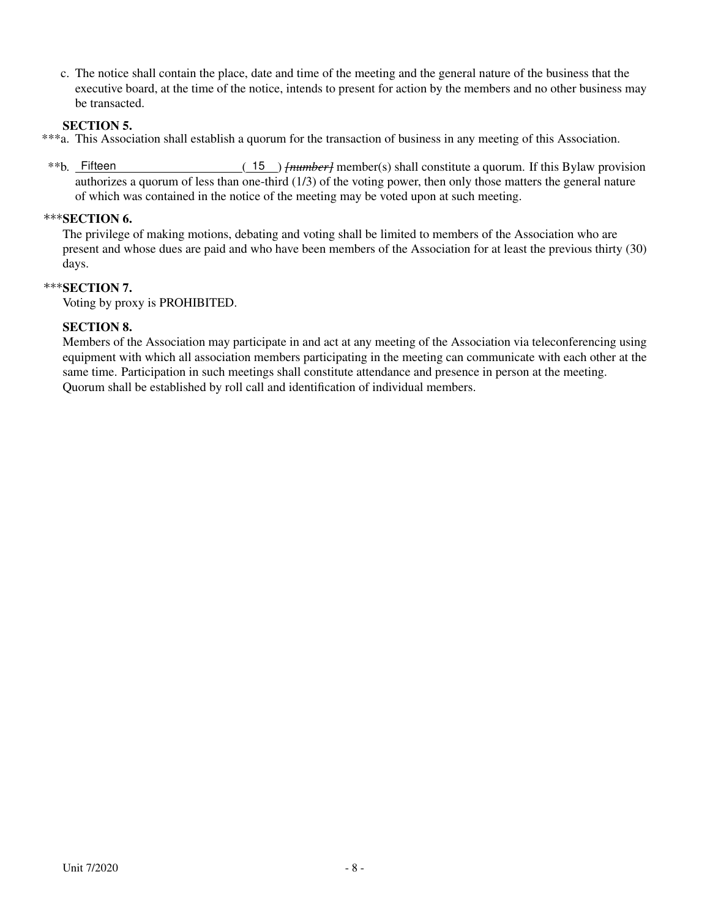c. The notice shall contain the place, date and time of the meeting and the general nature of the business that the executive board, at the time of the notice, intends to present for action by the members and no other business may be transacted.

#### SECTION 5.

- \*\*\*a. This Association shall establish a quorum for the transaction of business in any meeting of this Association.
- \*\*b. Fifteen ( 15 ) *[number]* member(s) shall constitute a quorum. If this Bylaw provision authorizes a quorum of less than one-third (1/3) of the voting power, then only those matters the general nature of which was contained in the notice of the meeting may be voted upon at such meeting.

#### \*\*\* SECTION 6.

The privilege of making motions, debating and voting shall be limited to members of the Association who are present and whose dues are paid and who have been members of the Association for at least the previous thirty (30) days.

### \*\*\*SECTION 7.

Voting by proxy is PROHIBITED.

#### SECTION 8.

Members of the Association may participate in and act at any meeting of the Association via teleconferencing using equipment with which all association members participating in the meeting can communicate with each other at the same time. Participation in such meetings shall constitute attendance and presence in person at the meeting. Quorum shall be established by roll call and identification of individual members.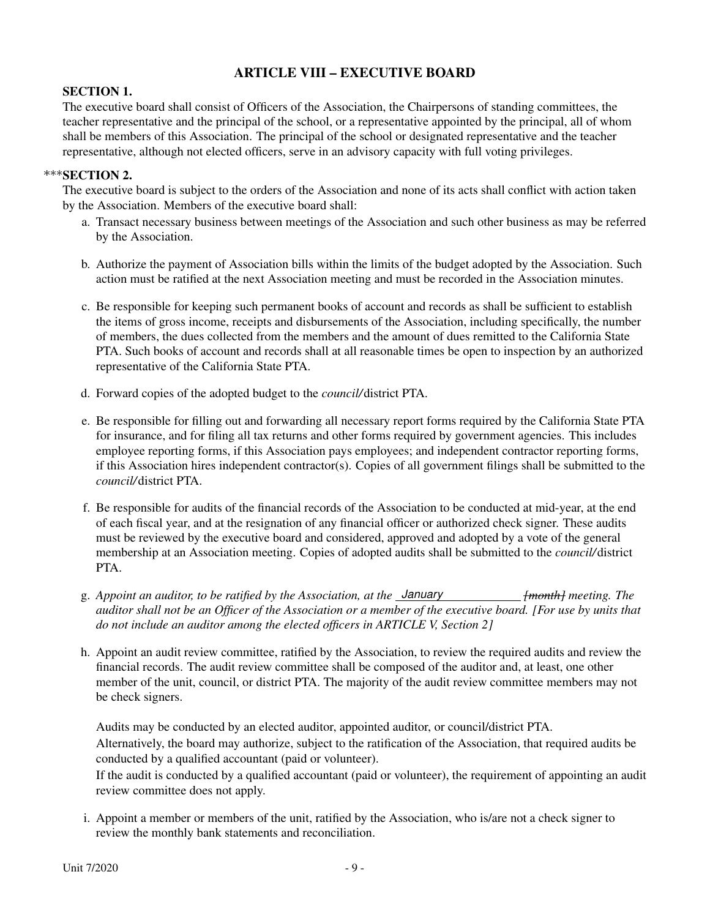## ARTICLE VIII – EXECUTIVE BOARD

#### SECTION 1.

The executive board shall consist of Officers of the Association, the Chairpersons of standing committees, the teacher representative and the principal of the school, or a representative appointed by the principal, all of whom shall be members of this Association. The principal of the school or designated representative and the teacher representative, although not elected officers, serve in an advisory capacity with full voting privileges.

#### \*\*\*SECTION 2.

The executive board is subject to the orders of the Association and none of its acts shall conflict with action taken by the Association. Members of the executive board shall:

- a. Transact necessary business between meetings of the Association and such other business as may be referred by the Association.
- b. Authorize the payment of Association bills within the limits of the budget adopted by the Association. Such action must be ratified at the next Association meeting and must be recorded in the Association minutes.
- c. Be responsible for keeping such permanent books of account and records as shall be sufficient to establish the items of gross income, receipts and disbursements of the Association, including specifically, the number of members, the dues collected from the members and the amount of dues remitted to the California State PTA. Such books of account and records shall at all reasonable times be open to inspection by an authorized representative of the California State PTA.
- d. Forward copies of the adopted budget to the *council/*district PTA.
- e. Be responsible for filling out and forwarding all necessary report forms required by the California State PTA for insurance, and for filing all tax returns and other forms required by government agencies. This includes employee reporting forms, if this Association pays employees; and independent contractor reporting forms, if this Association hires independent contractor(s). Copies of all government filings shall be submitted to the *council/*district PTA.
- f. Be responsible for audits of the financial records of the Association to be conducted at mid-year, at the end of each fiscal year, and at the resignation of any financial officer or authorized check signer. These audits must be reviewed by the executive board and considered, approved and adopted by a vote of the general membership at an Association meeting. Copies of adopted audits shall be submitted to the *council/*district PTA.
- g. *Appoint an auditor, to be ratified by the Association, at the January [month] meeting. The auditor shall not be an Officer of the Association or a member of the executive board. [For use by units that do not include an auditor among the elected officers in ARTICLE V, Section 2]*
- h. Appoint an audit review committee, ratified by the Association, to review the required audits and review the financial records. The audit review committee shall be composed of the auditor and, at least, one other member of the unit, council, or district PTA. The majority of the audit review committee members may not be check signers.

Audits may be conducted by an elected auditor, appointed auditor, or council/district PTA. Alternatively, the board may authorize, subject to the ratification of the Association, that required audits be conducted by a qualified accountant (paid or volunteer).

If the audit is conducted by a qualified accountant (paid or volunteer), the requirement of appointing an audit review committee does not apply.

i. Appoint a member or members of the unit, ratified by the Association, who is/are not a check signer to review the monthly bank statements and reconciliation.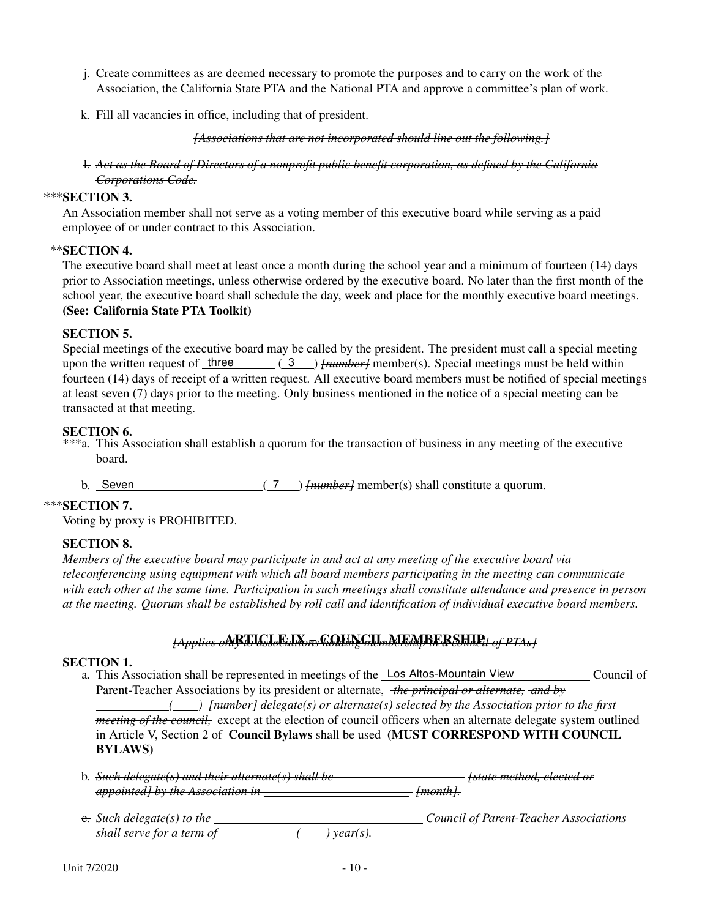- j. Create committees as are deemed necessary to promote the purposes and to carry on the work of the Association, the California State PTA and the National PTA and approve a committee's plan of work.
- k. Fill all vacancies in office, including that of president.

*[Associations that are not incorporated should line out the following.]*

#### l. *Act as the Board of Directors of a nonprofit public benefit corporation, as defined by the California Corporations Code.*

#### \*\*\*SECTION 3.

An Association member shall not serve as a voting member of this executive board while serving as a paid employee of or under contract to this Association.

#### \*\*SECTION 4.

The executive board shall meet at least once a month during the school year and a minimum of fourteen (14) days prior to Association meetings, unless otherwise ordered by the executive board. No later than the first month of the school year, the executive board shall schedule the day, week and place for the monthly executive board meetings. (See: California State PTA Toolkit)

#### SECTION 5.

Special meetings of the executive board may be called by the president. The president must call a special meeting upon the written request of three (3) *{number}* member(s). Special meetings must be held within fourteen (14) days of receipt of a written request. All executive board members must be notified of special meetings at least seven (7) days prior to the meeting. Only business mentioned in the notice of a special meeting can be transacted at that meeting.

#### SECTION 6.

- \*\*\*a. This Association shall establish a quorum for the transaction of business in any meeting of the executive board.
	- b. Seven ( 7 ) *[number]* member(s) shall constitute a quorum.

#### $***$ SECTION 7.

Voting by proxy is PROHIBITED.

#### SECTION 8.

*Members of the executive board may participate in and act at any meeting of the executive board via teleconferencing using equipment with which all board members participating in the meeting can communicate with each other at the same time. Participation in such meetings shall constitute attendance and presence in person at the meeting. Quorum shall be established by roll call and identification of individual executive board members.*

#### *[Applies only* ARTICLE IX – COUNCIL MEMBERSHIP *to associations holding membership in a council of PTAs]*

#### SECTION 1.

- a. This Association shall be represented in meetings of the Los Altos-Mountain View Council of Parent-Teacher Associations by its president or alternate, *the principal or alternate, and by ( ) [number] delegate(s) or alternate(s) selected by the Association prior to the first meeting of the council,* except at the election of council officers when an alternate delegate system outlined in Article V, Section 2 of Council Bylaws shall be used (MUST CORRESPOND WITH COUNCIL BYLAWS)
- b. *Such delegate(s) and their alternate(s) shall be [state method, elected or appointed] by the Association in [month].*
- c. *Such delegate(s) to the Council of Parent-Teacher Associations shall serve for a term of ( ) year(s).*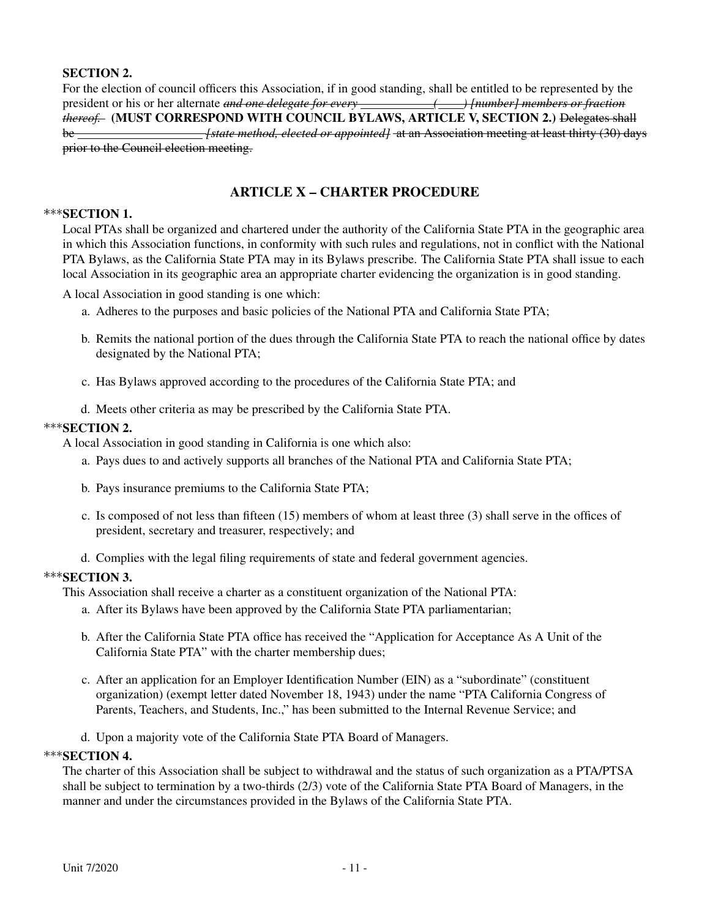### SECTION 2.

For the election of council officers this Association, if in good standing, shall be entitled to be represented by the president or his or her alternate *and one delegate for every ( ) [number] members or fraction thereof.* (MUST CORRESPOND WITH COUNCIL BYLAWS, ARTICLE V, SECTION 2.) Delegates shall be *[state method, elected or appointed]* at an Association meeting at least thirty (30) days prior to the Council election meeting.

## ARTICLE X – CHARTER PROCEDURE

#### \*\*\*SECTION 1.

Local PTAs shall be organized and chartered under the authority of the California State PTA in the geographic area in which this Association functions, in conformity with such rules and regulations, not in conflict with the National PTA Bylaws, as the California State PTA may in its Bylaws prescribe. The California State PTA shall issue to each local Association in its geographic area an appropriate charter evidencing the organization is in good standing.

A local Association in good standing is one which:

- a. Adheres to the purposes and basic policies of the National PTA and California State PTA;
- b. Remits the national portion of the dues through the California State PTA to reach the national office by dates designated by the National PTA;
- c. Has Bylaws approved according to the procedures of the California State PTA; and
- d. Meets other criteria as may be prescribed by the California State PTA.

#### \*\*\*SECTION 2.

A local Association in good standing in California is one which also:

- a. Pays dues to and actively supports all branches of the National PTA and California State PTA;
- b. Pays insurance premiums to the California State PTA;
- c. Is composed of not less than fifteen (15) members of whom at least three (3) shall serve in the offices of president, secretary and treasurer, respectively; and
- d. Complies with the legal filing requirements of state and federal government agencies.

#### \*\*\*SECTION 3.

This Association shall receive a charter as a constituent organization of the National PTA:

- a. After its Bylaws have been approved by the California State PTA parliamentarian;
- b. After the California State PTA office has received the "Application for Acceptance As A Unit of the California State PTA" with the charter membership dues;
- c. After an application for an Employer Identification Number (EIN) as a "subordinate" (constituent organization) (exempt letter dated November 18, 1943) under the name "PTA California Congress of Parents, Teachers, and Students, Inc.," has been submitted to the Internal Revenue Service; and
- d. Upon a majority vote of the California State PTA Board of Managers.

#### \*\*\*SECTION 4.

The charter of this Association shall be subject to withdrawal and the status of such organization as a PTA/PTSA shall be subject to termination by a two-thirds (2/3) vote of the California State PTA Board of Managers, in the manner and under the circumstances provided in the Bylaws of the California State PTA.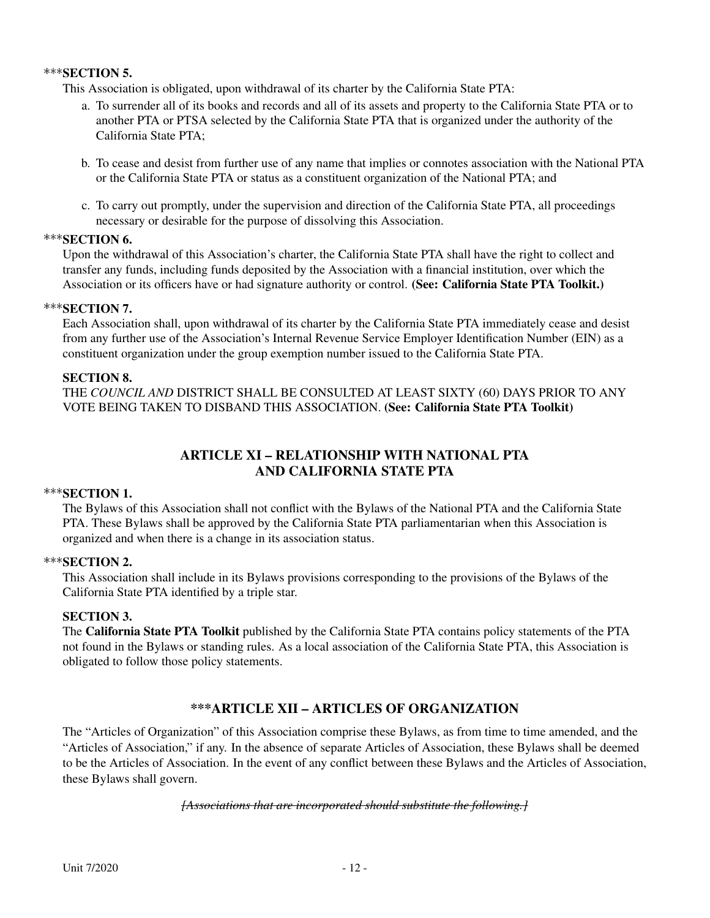#### $***$ SECTION 5.

This Association is obligated, upon withdrawal of its charter by the California State PTA:

- a. To surrender all of its books and records and all of its assets and property to the California State PTA or to another PTA or PTSA selected by the California State PTA that is organized under the authority of the California State PTA;
- b. To cease and desist from further use of any name that implies or connotes association with the National PTA or the California State PTA or status as a constituent organization of the National PTA; and
- c. To carry out promptly, under the supervision and direction of the California State PTA, all proceedings necessary or desirable for the purpose of dissolving this Association.

#### $***$ SECTION 6.

Upon the withdrawal of this Association's charter, the California State PTA shall have the right to collect and transfer any funds, including funds deposited by the Association with a financial institution, over which the Association or its officers have or had signature authority or control. (See: California State PTA Toolkit.)

#### $***$ SECTION 7.

Each Association shall, upon withdrawal of its charter by the California State PTA immediately cease and desist from any further use of the Association's Internal Revenue Service Employer Identification Number (EIN) as a constituent organization under the group exemption number issued to the California State PTA.

#### SECTION 8.

THE *COUNCIL AND* DISTRICT SHALL BE CONSULTED AT LEAST SIXTY (60) DAYS PRIOR TO ANY VOTE BEING TAKEN TO DISBAND THIS ASSOCIATION. (See: California State PTA Toolkit)

## ARTICLE XI – RELATIONSHIP WITH NATIONAL PTA AND CALIFORNIA STATE PTA

#### $***$ SECTION 1.

The Bylaws of this Association shall not conflict with the Bylaws of the National PTA and the California State PTA. These Bylaws shall be approved by the California State PTA parliamentarian when this Association is organized and when there is a change in its association status.

#### \*\*\*SECTION 2.

This Association shall include in its Bylaws provisions corresponding to the provisions of the Bylaws of the California State PTA identified by a triple star.

#### SECTION 3.

The California State PTA Toolkit published by the California State PTA contains policy statements of the PTA not found in the Bylaws or standing rules. As a local association of the California State PTA, this Association is obligated to follow those policy statements.

## \*\*\*ARTICLE XII – ARTICLES OF ORGANIZATION

The "Articles of Organization" of this Association comprise these Bylaws, as from time to time amended, and the "Articles of Association," if any. In the absence of separate Articles of Association, these Bylaws shall be deemed to be the Articles of Association. In the event of any conflict between these Bylaws and the Articles of Association, these Bylaws shall govern.

#### *[Associations that are incorporated should substitute the following.]*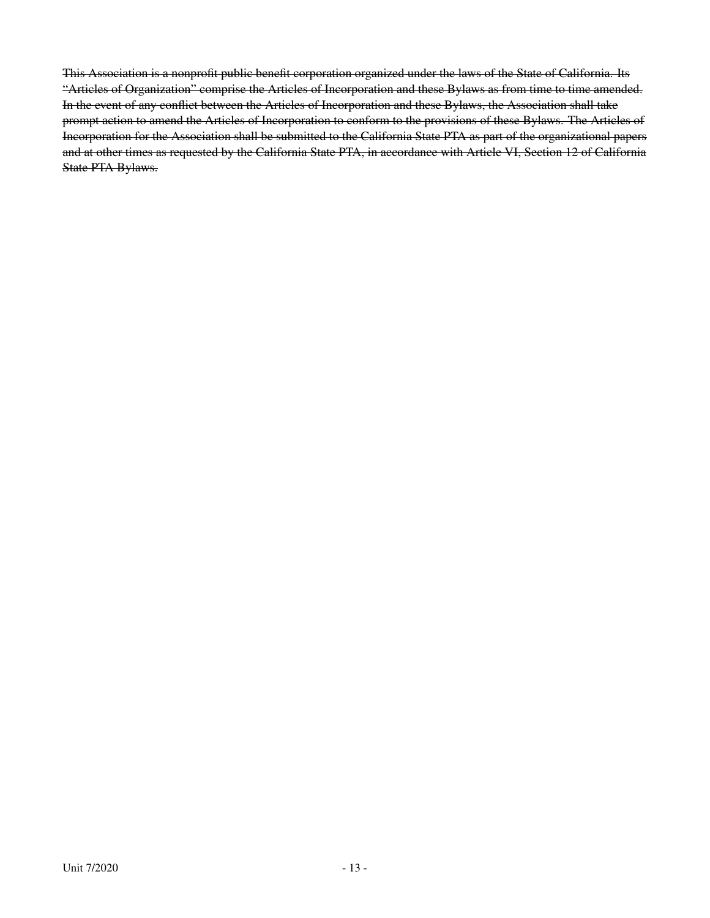This Association is a nonprofit public benefit corporation organized under the laws of the State of California. Its "Articles of Organization" comprise the Articles of Incorporation and these Bylaws as from time to time amended. In the event of any conflict between the Articles of Incorporation and these Bylaws, the Association shall take prompt action to amend the Articles of Incorporation to conform to the provisions of these Bylaws. The Articles of Incorporation for the Association shall be submitted to the California State PTA as part of the organizational papers and at other times as requested by the California State PTA, in accordance with Article VI, Section 12 of California State PTA Bylaws.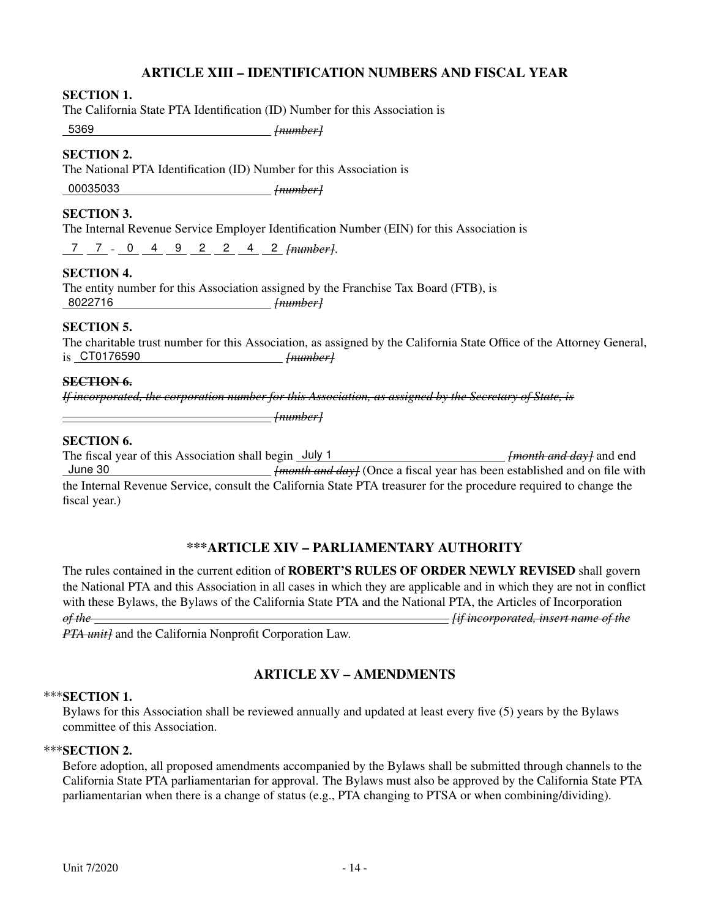## ARTICLE XIII – IDENTIFICATION NUMBERS AND FISCAL YEAR

#### SECTION 1.

The California State PTA Identification (ID) Number for this Association is

5369 *[number]*

### SECTION 2.

The National PTA Identification (ID) Number for this Association is

00035033 *[number]*

#### SECTION 3.

The Internal Revenue Service Employer Identification Number (EIN) for this Association is

7 7 - 0 4 9 2 2 4 2 *[number]*.

#### SECTION 4.

The entity number for this Association assigned by the Franchise Tax Board (FTB), is 8022716 *[number]*

#### SECTION 5.

The charitable trust number for this Association, as assigned by the California State Office of the Attorney General, is CT0176590 *[number]*

#### SECTION 6.

*If incorporated, the corporation number for this Association, as assigned by the Secretary of State, is*

*[number]*

#### SECTION 6.

The fiscal year of this Association shall begin July 1 *[month and day]* and end June 30 *[month and day]* (Once a fiscal year has been established and on file with the Internal Revenue Service, consult the California State PTA treasurer for the procedure required to change the fiscal year.)

## \*\*\*ARTICLE XIV – PARLIAMENTARY AUTHORITY

The rules contained in the current edition of **ROBERT'S RULES OF ORDER NEWLY REVISED** shall govern the National PTA and this Association in all cases in which they are applicable and in which they are not in conflict with these Bylaws, the Bylaws of the California State PTA and the National PTA, the Articles of Incorporation *of the [if incorporated, insert name of the*

*PTA unit]* and the California Nonprofit Corporation Law.

## ARTICLE XV – AMENDMENTS

#### \*\*\*SECTION 1.

Bylaws for this Association shall be reviewed annually and updated at least every five (5) years by the Bylaws committee of this Association.

#### \*\*\*SECTION 2.

Before adoption, all proposed amendments accompanied by the Bylaws shall be submitted through channels to the California State PTA parliamentarian for approval. The Bylaws must also be approved by the California State PTA parliamentarian when there is a change of status (e.g., PTA changing to PTSA or when combining/dividing).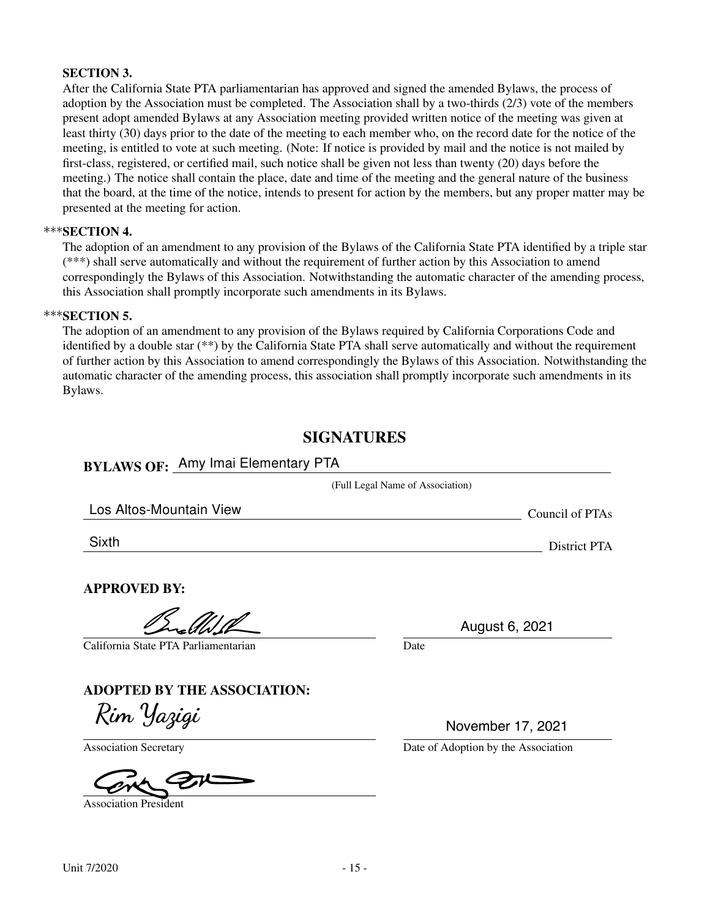#### SECTION 3.

After the California State PTA parliamentarian has approved and signed the amended Bylaws, the process of adoption by the Association must be completed. The Association shall by a two-thirds (2/3) vote of the members present adopt amended Bylaws at any Association meeting provided written notice of the meeting was given at least thirty (30) days prior to the date of the meeting to each member who, on the record date for the notice of the meeting, is entitled to vote at such meeting. (Note: If notice is provided by mail and the notice is not mailed by first-class, registered, or certified mail, such notice shall be given not less than twenty (20) days before the meeting.) The notice shall contain the place, date and time of the meeting and the general nature of the business that the board, at the time of the notice, intends to present for action by the members, but any proper matter may be presented at the meeting for action.

#### \*\*\*SECTION 4.

The adoption of an amendment to any provision of the Bylaws of the California State PTA identified by a triple star (\*\*\*) shall serve automatically and without the requirement of further action by this Association to amend correspondingly the Bylaws of this Association. Notwithstanding the automatic character of the amending process, this Association shall promptly incorporate such amendments in its Bylaws.

#### $***$ SECTION 5.

The adoption of an amendment to any provision of the Bylaws required by California Corporations Code and identified by a double star (\*\*) by the California State PTA shall serve automatically and without the requirement of further action by this Association to amend correspondingly the Bylaws of this Association. Notwithstanding the automatic character of the amending process, this association shall promptly incorporate such amendments in its Bylaws.

## **SIGNATURES**

# BYLAWS OF: Amy Imai Elementary PTA

|                                      | (Full Legal Name of Association) |                 |
|--------------------------------------|----------------------------------|-----------------|
| Los Altos-Mountain View              |                                  | Council of PTAs |
| Sixth                                |                                  | District PTA    |
| <b>APPROVED BY:</b>                  |                                  |                 |
|                                      | August 6, 2021                   |                 |
| California State PTA Parliamentarian | Date                             |                 |
| <b>ADOPTED BY THE ASSOCIATION:</b>   |                                  |                 |
| Rim Yazigi                           | November 17, 2021                |                 |

Association President

Association Secretary Date of Adoption by the Association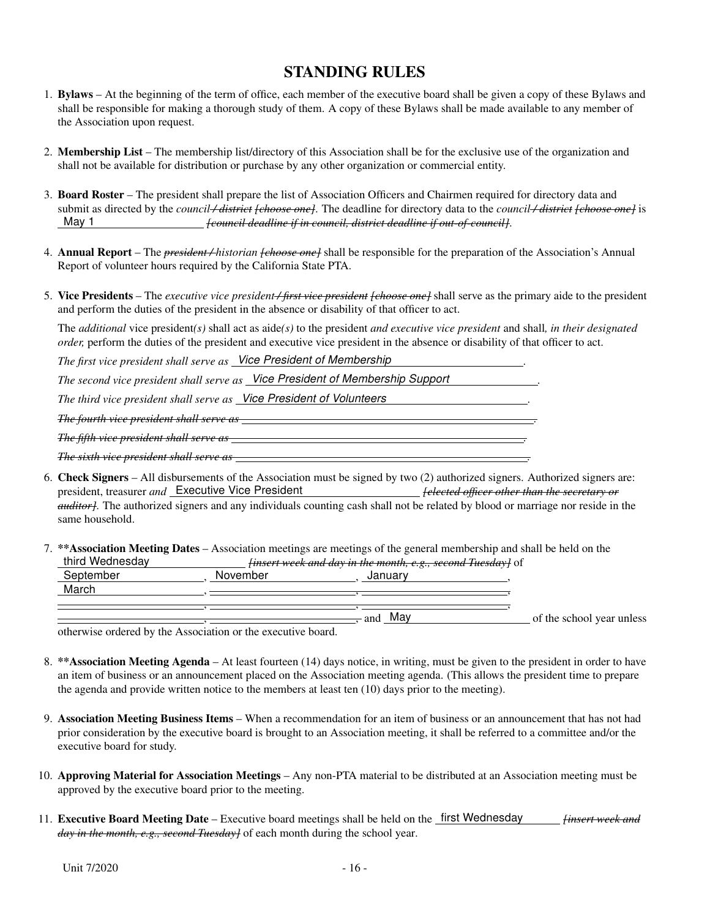## STANDING RULES

- 1. Bylaws At the beginning of the term of office, each member of the executive board shall be given a copy of these Bylaws and shall be responsible for making a thorough study of them. A copy of these Bylaws shall be made available to any member of the Association upon request.
- 2. Membership List The membership list/directory of this Association shall be for the exclusive use of the organization and shall not be available for distribution or purchase by any other organization or commercial entity.
- 3. Board Roster The president shall prepare the list of Association Officers and Chairmen required for directory data and submit as directed by the *council / district [choose one]*. The deadline for directory data to the *council / district [choose one]* is May 1 *[council deadline if in council, district deadline if out-of-council]*.
- 4. Annual Report The *president / historian [choose one]* shall be responsible for the preparation of the Association's Annual Report of volunteer hours required by the California State PTA.
- 5. Vice Presidents The *executive vice president / first vice president [choose one]* shall serve as the primary aide to the president and perform the duties of the president in the absence or disability of that officer to act.

The *additional* vice president*(s)* shall act as aide*(s)* to the president *and executive vice president* and shall*, in their designated order*, perform the duties of the president and executive vice president in the absence or disability of that officer to act.

*The first vice president shall serve as Vice President of Membership .*

*The second vice president shall serve as Vice President of Membership Support .*

*The third vice president shall serve as Vice President of Volunteers .*

*The fourth vice president shall serve as .*

*The fifth vice president shall serve as .*

*The sixth vice president shall serve as .*

- 6. Check Signers All disbursements of the Association must be signed by two (2) authorized signers. Authorized signers are: president, treasurer *and* Executive Vice President *[elected officer other than the secretary or auditor]*. The authorized signers and any individuals counting cash shall not be related by blood or marriage nor reside in the same household.
- 7. \*\*Association Meeting Dates Association meetings are meetings of the general membership and shall be held on the third Wednesday *[insert week and day in the month, e.g., second Tuesday]* of

| ⊃eptember | November | Januar     |                           |
|-----------|----------|------------|---------------------------|
| March     |          |            |                           |
|           |          |            |                           |
|           |          | Mav<br>and | of the school year unless |
|           |          |            |                           |

otherwise ordered by the Association or the executive board.

- 8. \*\*Association Meeting Agenda At least fourteen (14) days notice, in writing, must be given to the president in order to have an item of business or an announcement placed on the Association meeting agenda. (This allows the president time to prepare the agenda and provide written notice to the members at least ten (10) days prior to the meeting).
- 9. Association Meeting Business Items When a recommendation for an item of business or an announcement that has not had prior consideration by the executive board is brought to an Association meeting, it shall be referred to a committee and/or the executive board for study.
- 10. Approving Material for Association Meetings Any non-PTA material to be distributed at an Association meeting must be approved by the executive board prior to the meeting.
- 11. Executive Board Meeting Date Executive board meetings shall be held on the first Wednesday *[insert week and day in the month, e.g., second Tuesday]* of each month during the school year.